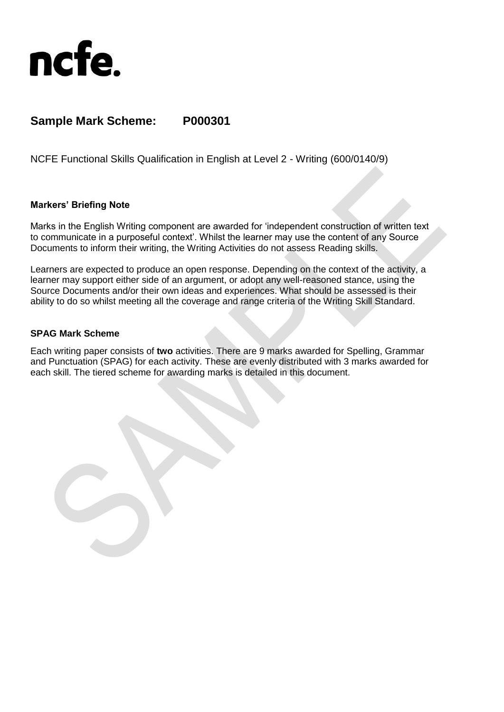

## **Sample Mark Scheme: P000301**

NCFE Functional Skills Qualification in English at Level 2 - Writing (600/0140/9)

## **Markers' Briefing Note**

Marks in the English Writing component are awarded for 'independent construction of written text to communicate in a purposeful context'. Whilst the learner may use the content of any Source Documents to inform their writing, the Writing Activities do not assess Reading skills.

Learners are expected to produce an open response. Depending on the context of the activity, a learner may support either side of an argument, or adopt any well-reasoned stance, using the Source Documents and/or their own ideas and experiences. What should be assessed is their ability to do so whilst meeting all the coverage and range criteria of the Writing Skill Standard.

## **SPAG Mark Scheme**

Each writing paper consists of **two** activities. There are 9 marks awarded for Spelling, Grammar and Punctuation (SPAG) for each activity. These are evenly distributed with 3 marks awarded for each skill. The tiered scheme for awarding marks is detailed in this document.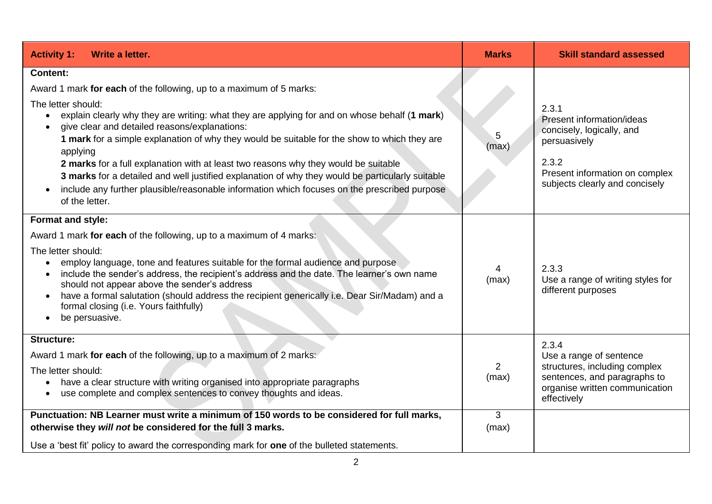| <b>Activity 1:</b><br>Write a letter.                                                                                                                                                                                                                                                                                                                                                                                                                                                                                                                                                                                                                                                          | <b>Marks</b>            | <b>Skill standard assessed</b>                                                                                                                               |  |
|------------------------------------------------------------------------------------------------------------------------------------------------------------------------------------------------------------------------------------------------------------------------------------------------------------------------------------------------------------------------------------------------------------------------------------------------------------------------------------------------------------------------------------------------------------------------------------------------------------------------------------------------------------------------------------------------|-------------------------|--------------------------------------------------------------------------------------------------------------------------------------------------------------|--|
| <b>Content:</b>                                                                                                                                                                                                                                                                                                                                                                                                                                                                                                                                                                                                                                                                                |                         |                                                                                                                                                              |  |
| Award 1 mark for each of the following, up to a maximum of 5 marks:<br>The letter should:<br>explain clearly why they are writing: what they are applying for and on whose behalf (1 mark)<br>$\bullet$<br>give clear and detailed reasons/explanations:<br>$\bullet$<br>1 mark for a simple explanation of why they would be suitable for the show to which they are<br>applying<br>2 marks for a full explanation with at least two reasons why they would be suitable<br>3 marks for a detailed and well justified explanation of why they would be particularly suitable<br>include any further plausible/reasonable information which focuses on the prescribed purpose<br>of the letter. | 5<br>(max)              | 2.3.1<br>Present information/ideas<br>concisely, logically, and<br>persuasively<br>2.3.2<br>Present information on complex<br>subjects clearly and concisely |  |
| Format and style:                                                                                                                                                                                                                                                                                                                                                                                                                                                                                                                                                                                                                                                                              |                         |                                                                                                                                                              |  |
| Award 1 mark for each of the following, up to a maximum of 4 marks:                                                                                                                                                                                                                                                                                                                                                                                                                                                                                                                                                                                                                            |                         |                                                                                                                                                              |  |
| The letter should:<br>employ language, tone and features suitable for the formal audience and purpose<br>$\bullet$<br>include the sender's address, the recipient's address and the date. The learner's own name<br>should not appear above the sender's address<br>have a formal salutation (should address the recipient generically i.e. Dear Sir/Madam) and a<br>$\bullet$<br>formal closing (i.e. Yours faithfully)<br>be persuasive.<br>$\bullet$                                                                                                                                                                                                                                        | 4<br>(max)              | 2.3.3<br>Use a range of writing styles for<br>different purposes                                                                                             |  |
| <b>Structure:</b>                                                                                                                                                                                                                                                                                                                                                                                                                                                                                                                                                                                                                                                                              |                         | 2.3.4                                                                                                                                                        |  |
| Award 1 mark for each of the following, up to a maximum of 2 marks:<br>The letter should:<br>have a clear structure with writing organised into appropriate paragraphs<br>$\bullet$<br>use complete and complex sentences to convey thoughts and ideas.<br>$\bullet$                                                                                                                                                                                                                                                                                                                                                                                                                           | $\overline{2}$<br>(max) | Use a range of sentence<br>structures, including complex<br>sentences, and paragraphs to<br>organise written communication<br>effectively                    |  |
| Punctuation: NB Learner must write a minimum of 150 words to be considered for full marks,<br>otherwise they will not be considered for the full 3 marks.                                                                                                                                                                                                                                                                                                                                                                                                                                                                                                                                      | 3<br>(max)              |                                                                                                                                                              |  |
| Use a 'best fit' policy to award the corresponding mark for one of the bulleted statements.                                                                                                                                                                                                                                                                                                                                                                                                                                                                                                                                                                                                    |                         |                                                                                                                                                              |  |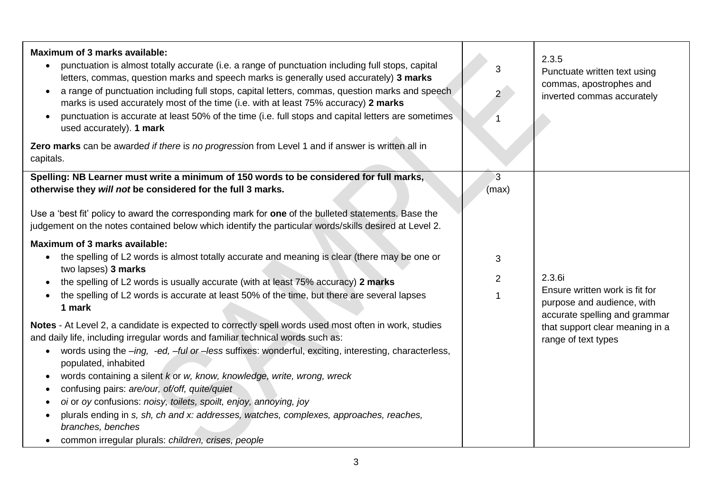| <b>Maximum of 3 marks available:</b><br>punctuation is almost totally accurate (i.e. a range of punctuation including full stops, capital<br>$\bullet$<br>letters, commas, question marks and speech marks is generally used accurately) 3 marks<br>a range of punctuation including full stops, capital letters, commas, question marks and speech<br>$\bullet$<br>marks is used accurately most of the time (i.e. with at least 75% accuracy) 2 marks<br>punctuation is accurate at least 50% of the time (i.e. full stops and capital letters are sometimes<br>$\bullet$<br>used accurately). 1 mark<br>Zero marks can be awarded if there is no progression from Level 1 and if answer is written all in<br>capitals.                                                                                                                                                                                                                                                                                                                                                     | 3                   | 2.3.5<br>Punctuate written text using<br>commas, apostrophes and<br>inverted commas accurately                                                                    |
|-------------------------------------------------------------------------------------------------------------------------------------------------------------------------------------------------------------------------------------------------------------------------------------------------------------------------------------------------------------------------------------------------------------------------------------------------------------------------------------------------------------------------------------------------------------------------------------------------------------------------------------------------------------------------------------------------------------------------------------------------------------------------------------------------------------------------------------------------------------------------------------------------------------------------------------------------------------------------------------------------------------------------------------------------------------------------------|---------------------|-------------------------------------------------------------------------------------------------------------------------------------------------------------------|
| Spelling: NB Learner must write a minimum of 150 words to be considered for full marks,<br>otherwise they will not be considered for the full 3 marks.                                                                                                                                                                                                                                                                                                                                                                                                                                                                                                                                                                                                                                                                                                                                                                                                                                                                                                                        | 3<br>(max)          |                                                                                                                                                                   |
| Use a 'best fit' policy to award the corresponding mark for one of the bulleted statements. Base the<br>judgement on the notes contained below which identify the particular words/skills desired at Level 2.                                                                                                                                                                                                                                                                                                                                                                                                                                                                                                                                                                                                                                                                                                                                                                                                                                                                 |                     |                                                                                                                                                                   |
| Maximum of 3 marks available:<br>the spelling of L2 words is almost totally accurate and meaning is clear (there may be one or<br>$\bullet$<br>two lapses) 3 marks<br>the spelling of L2 words is usually accurate (with at least 75% accuracy) 2 marks<br>the spelling of L2 words is accurate at least 50% of the time, but there are several lapses<br>1 mark<br>Notes - At Level 2, a candidate is expected to correctly spell words used most often in work, studies<br>and daily life, including irregular words and familiar technical words such as:<br>words using the -ing, -ed, -ful or -less suffixes: wonderful, exciting, interesting, characterless,<br>$\bullet$<br>populated, inhabited<br>words containing a silent k or w, know, knowledge, write, wrong, wreck<br>confusing pairs: are/our, of/off, quite/quiet<br>oi or oy confusions: noisy, toilets, spoilt, enjoy, annoying, joy<br>plurals ending in s, sh, ch and x: addresses, watches, complexes, approaches, reaches,<br>branches, benches<br>common irregular plurals: children, crises, people | 3<br>$\overline{2}$ | 2.3.6i<br>Ensure written work is fit for<br>purpose and audience, with<br>accurate spelling and grammar<br>that support clear meaning in a<br>range of text types |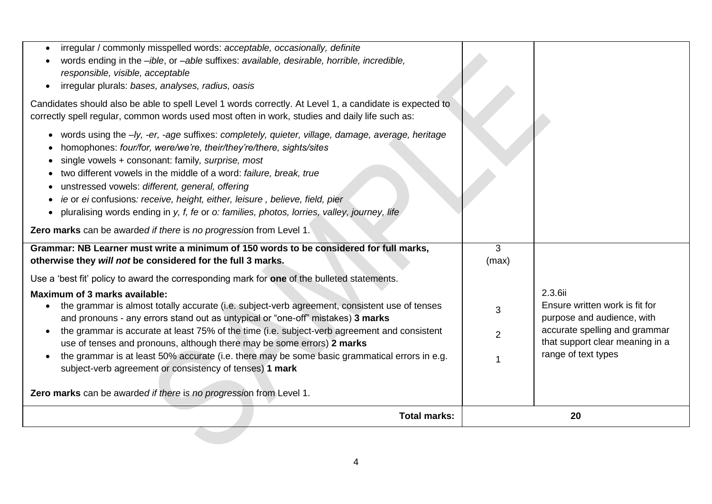| <b>Total marks:</b>                                                                                                                                                                                                                                                                                                                                                                                                                                                                                                                                                                                                                                                        | 20                  |                                                                                                                                                                    |
|----------------------------------------------------------------------------------------------------------------------------------------------------------------------------------------------------------------------------------------------------------------------------------------------------------------------------------------------------------------------------------------------------------------------------------------------------------------------------------------------------------------------------------------------------------------------------------------------------------------------------------------------------------------------------|---------------------|--------------------------------------------------------------------------------------------------------------------------------------------------------------------|
| Zero marks can be awarded if there is no progression from Level 1.                                                                                                                                                                                                                                                                                                                                                                                                                                                                                                                                                                                                         |                     |                                                                                                                                                                    |
| Use a 'best fit' policy to award the corresponding mark for one of the bulleted statements.<br><b>Maximum of 3 marks available:</b><br>the grammar is almost totally accurate (i.e. subject-verb agreement, consistent use of tenses<br>$\bullet$<br>and pronouns - any errors stand out as untypical or "one-off" mistakes) 3 marks<br>the grammar is accurate at least 75% of the time (i.e. subject-verb agreement and consistent<br>use of tenses and pronouns, although there may be some errors) 2 marks<br>the grammar is at least 50% accurate (i.e. there may be some basic grammatical errors in e.g.<br>subject-verb agreement or consistency of tenses) 1 mark | 3<br>$\overline{2}$ | 2.3.6ii<br>Ensure written work is fit for<br>purpose and audience, with<br>accurate spelling and grammar<br>that support clear meaning in a<br>range of text types |
| Grammar: NB Learner must write a minimum of 150 words to be considered for full marks,<br>otherwise they will not be considered for the full 3 marks.                                                                                                                                                                                                                                                                                                                                                                                                                                                                                                                      | 3<br>(max)          |                                                                                                                                                                    |
| words using the -ly, -er, -age suffixes: completely, quieter, village, damage, average, heritage<br>$\bullet$<br>homophones: four/for, were/we're, their/they're/there, sights/sites<br>single vowels + consonant: family, surprise, most<br>two different vowels in the middle of a word: failure, break, true<br>unstressed vowels: different, general, offering<br>٠<br>ie or ei confusions: receive, height, either, leisure, believe, field, pier<br>pluralising words ending in y, f, fe or o: families, photos, lorries, valley, journey, life<br>Zero marks can be awarded if there is no progression from Level 1.                                                |                     |                                                                                                                                                                    |
| Candidates should also be able to spell Level 1 words correctly. At Level 1, a candidate is expected to<br>correctly spell regular, common words used most often in work, studies and daily life such as:                                                                                                                                                                                                                                                                                                                                                                                                                                                                  |                     |                                                                                                                                                                    |
| irregular / commonly misspelled words: acceptable, occasionally, definite<br>words ending in the -ible, or -able suffixes: available, desirable, horrible, incredible,<br>responsible, visible, acceptable<br>irregular plurals: bases, analyses, radius, oasis                                                                                                                                                                                                                                                                                                                                                                                                            |                     |                                                                                                                                                                    |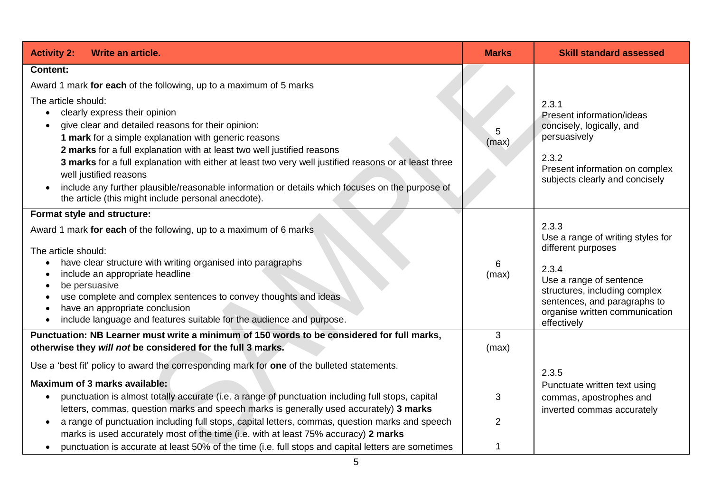| <b>Activity 2:</b><br><b>Write an article.</b>                                                                                                                                                                                                                                                                                                                                                                                                                                                                                                          | <b>Marks</b> | <b>Skill standard assessed</b>                                                                                                                                                                                         |
|---------------------------------------------------------------------------------------------------------------------------------------------------------------------------------------------------------------------------------------------------------------------------------------------------------------------------------------------------------------------------------------------------------------------------------------------------------------------------------------------------------------------------------------------------------|--------------|------------------------------------------------------------------------------------------------------------------------------------------------------------------------------------------------------------------------|
| <b>Content:</b>                                                                                                                                                                                                                                                                                                                                                                                                                                                                                                                                         |              |                                                                                                                                                                                                                        |
| Award 1 mark for each of the following, up to a maximum of 5 marks                                                                                                                                                                                                                                                                                                                                                                                                                                                                                      |              |                                                                                                                                                                                                                        |
| The article should:<br>clearly express their opinion<br>give clear and detailed reasons for their opinion:<br>1 mark for a simple explanation with generic reasons<br>2 marks for a full explanation with at least two well justified reasons<br>3 marks for a full explanation with either at least two very well justified reasons or at least three<br>well justified reasons<br>include any further plausible/reasonable information or details which focuses on the purpose of<br>$\bullet$<br>the article (this might include personal anecdote). | 5<br>(max)   | 2.3.1<br>Present information/ideas<br>concisely, logically, and<br>persuasively<br>2.3.2<br>Present information on complex<br>subjects clearly and concisely                                                           |
| Format style and structure:                                                                                                                                                                                                                                                                                                                                                                                                                                                                                                                             |              |                                                                                                                                                                                                                        |
| Award 1 mark for each of the following, up to a maximum of 6 marks<br>The article should:<br>have clear structure with writing organised into paragraphs<br>include an appropriate headline<br>be persuasive<br>use complete and complex sentences to convey thoughts and ideas<br>have an appropriate conclusion<br>include language and features suitable for the audience and purpose.<br>$\bullet$                                                                                                                                                  |              | 2.3.3<br>Use a range of writing styles for<br>different purposes<br>2.3.4<br>Use a range of sentence<br>structures, including complex<br>sentences, and paragraphs to<br>organise written communication<br>effectively |
| Punctuation: NB Learner must write a minimum of 150 words to be considered for full marks,                                                                                                                                                                                                                                                                                                                                                                                                                                                              | 3            |                                                                                                                                                                                                                        |
| otherwise they will not be considered for the full 3 marks.                                                                                                                                                                                                                                                                                                                                                                                                                                                                                             | (max)        |                                                                                                                                                                                                                        |
| Use a 'best fit' policy to award the corresponding mark for one of the bulleted statements.                                                                                                                                                                                                                                                                                                                                                                                                                                                             |              |                                                                                                                                                                                                                        |
| Maximum of 3 marks available:<br>punctuation is almost totally accurate (i.e. a range of punctuation including full stops, capital<br>$\bullet$<br>letters, commas, question marks and speech marks is generally used accurately) 3 marks<br>a range of punctuation including full stops, capital letters, commas, question marks and speech<br>marks is used accurately most of the time (i.e. with at least 75% accuracy) 2 marks<br>punctuation is accurate at least 50% of the time (i.e. full stops and capital letters are sometimes              | 3<br>2<br>1  | 2.3.5<br>Punctuate written text using<br>commas, apostrophes and<br>inverted commas accurately                                                                                                                         |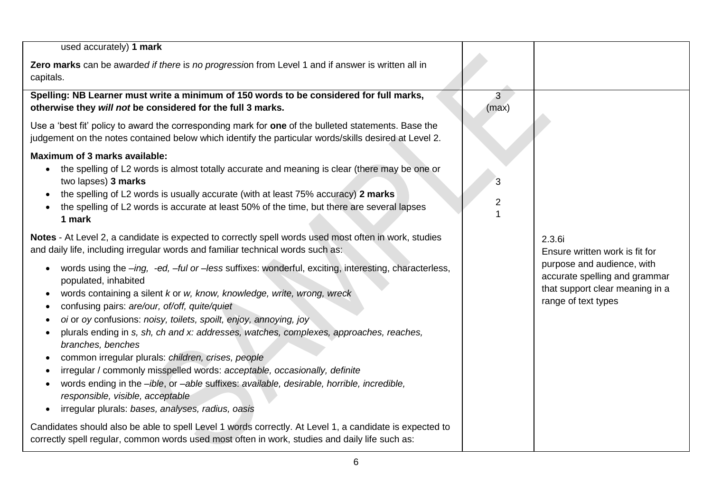| used accurately) 1 mark                                                                                                                                                                                                                                                                                                                                                                                                                                                                                                                                                                                                                                                                                                                                             |                              |                                                                                                                       |
|---------------------------------------------------------------------------------------------------------------------------------------------------------------------------------------------------------------------------------------------------------------------------------------------------------------------------------------------------------------------------------------------------------------------------------------------------------------------------------------------------------------------------------------------------------------------------------------------------------------------------------------------------------------------------------------------------------------------------------------------------------------------|------------------------------|-----------------------------------------------------------------------------------------------------------------------|
| Zero marks can be awarded if there is no progression from Level 1 and if answer is written all in<br>capitals.                                                                                                                                                                                                                                                                                                                                                                                                                                                                                                                                                                                                                                                      |                              |                                                                                                                       |
| Spelling: NB Learner must write a minimum of 150 words to be considered for full marks,<br>otherwise they will not be considered for the full 3 marks.                                                                                                                                                                                                                                                                                                                                                                                                                                                                                                                                                                                                              | 3<br>(max)                   |                                                                                                                       |
| Use a 'best fit' policy to award the corresponding mark for one of the bulleted statements. Base the<br>judgement on the notes contained below which identify the particular words/skills desired at Level 2.                                                                                                                                                                                                                                                                                                                                                                                                                                                                                                                                                       |                              |                                                                                                                       |
| <b>Maximum of 3 marks available:</b><br>the spelling of L2 words is almost totally accurate and meaning is clear (there may be one or<br>$\bullet$<br>two lapses) 3 marks<br>the spelling of L2 words is usually accurate (with at least 75% accuracy) 2 marks<br>the spelling of L2 words is accurate at least 50% of the time, but there are several lapses<br>1 mark                                                                                                                                                                                                                                                                                                                                                                                             | 3<br>$\overline{\mathbf{c}}$ |                                                                                                                       |
| Notes - At Level 2, a candidate is expected to correctly spell words used most often in work, studies<br>and daily life, including irregular words and familiar technical words such as:                                                                                                                                                                                                                                                                                                                                                                                                                                                                                                                                                                            |                              | 2.3.6i<br>Ensure written work is fit for                                                                              |
| words using the -ing, -ed, -ful or -less suffixes: wonderful, exciting, interesting, characterless,<br>populated, inhabited<br>words containing a silent k or w, know, knowledge, write, wrong, wreck<br>confusing pairs: are/our, of/off, quite/quiet<br>oi or oy confusions: noisy, toilets, spoilt, enjoy, annoying, joy<br>plurals ending in s, sh, ch and x: addresses, watches, complexes, approaches, reaches,<br>branches, benches<br>common irregular plurals: children, crises, people<br>irregular / commonly misspelled words: acceptable, occasionally, definite<br>words ending in the -ible, or -able suffixes: available, desirable, horrible, incredible,<br>responsible, visible, acceptable<br>irregular plurals: bases, analyses, radius, oasis |                              | purpose and audience, with<br>accurate spelling and grammar<br>that support clear meaning in a<br>range of text types |
| Candidates should also be able to spell Level 1 words correctly. At Level 1, a candidate is expected to<br>correctly spell regular, common words used most often in work, studies and daily life such as:                                                                                                                                                                                                                                                                                                                                                                                                                                                                                                                                                           |                              |                                                                                                                       |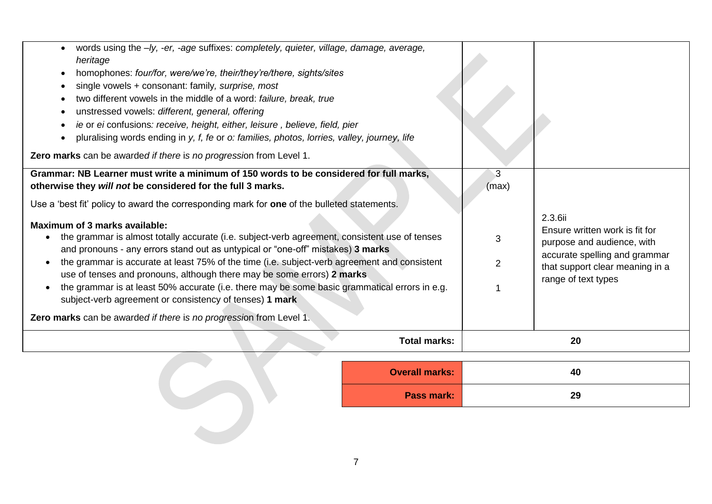|                                                                                                                                                                                                                                                                                                                                                                                                                                                                                                                                                                                                                                                                                                                                                                                                          | <b>Pass mark:</b>     |                              | 29                                                                                                                                                                 |
|----------------------------------------------------------------------------------------------------------------------------------------------------------------------------------------------------------------------------------------------------------------------------------------------------------------------------------------------------------------------------------------------------------------------------------------------------------------------------------------------------------------------------------------------------------------------------------------------------------------------------------------------------------------------------------------------------------------------------------------------------------------------------------------------------------|-----------------------|------------------------------|--------------------------------------------------------------------------------------------------------------------------------------------------------------------|
|                                                                                                                                                                                                                                                                                                                                                                                                                                                                                                                                                                                                                                                                                                                                                                                                          | <b>Overall marks:</b> |                              | 40                                                                                                                                                                 |
|                                                                                                                                                                                                                                                                                                                                                                                                                                                                                                                                                                                                                                                                                                                                                                                                          | <b>Total marks:</b>   |                              | 20                                                                                                                                                                 |
| otherwise they will not be considered for the full 3 marks.<br>Use a 'best fit' policy to award the corresponding mark for one of the bulleted statements.<br>Maximum of 3 marks available:<br>the grammar is almost totally accurate (i.e. subject-verb agreement, consistent use of tenses<br>and pronouns - any errors stand out as untypical or "one-off" mistakes) 3 marks<br>the grammar is accurate at least 75% of the time (i.e. subject-verb agreement and consistent<br>$\bullet$<br>use of tenses and pronouns, although there may be some errors) 2 marks<br>the grammar is at least 50% accurate (i.e. there may be some basic grammatical errors in e.g.<br>subject-verb agreement or consistency of tenses) 1 mark<br>Zero marks can be awarded if there is no progression from Level 1. |                       | (max)<br>3<br>$\overline{2}$ | 2.3.6ii<br>Ensure written work is fit for<br>purpose and audience, with<br>accurate spelling and grammar<br>that support clear meaning in a<br>range of text types |
| words using the -ly, -er, -age suffixes: completely, quieter, village, damage, average,<br>heritage<br>homophones: four/for, were/we're, their/they're/there, sights/sites<br>single vowels + consonant: family, surprise, most<br>$\bullet$<br>two different vowels in the middle of a word: failure, break, true<br>unstressed vowels: different, general, offering<br>ie or ei confusions: receive, height, either, leisure, believe, field, pier<br>pluralising words ending in y, f, fe or o: families, photos, lorries, valley, journey, life<br>Zero marks can be awarded if there is no progression from Level 1.<br>Grammar: NB Learner must write a minimum of 150 words to be considered for full marks,                                                                                      |                       | 3                            |                                                                                                                                                                    |

| <b>Overall marks:</b> | 40 |
|-----------------------|----|
| Pass mark:            | 29 |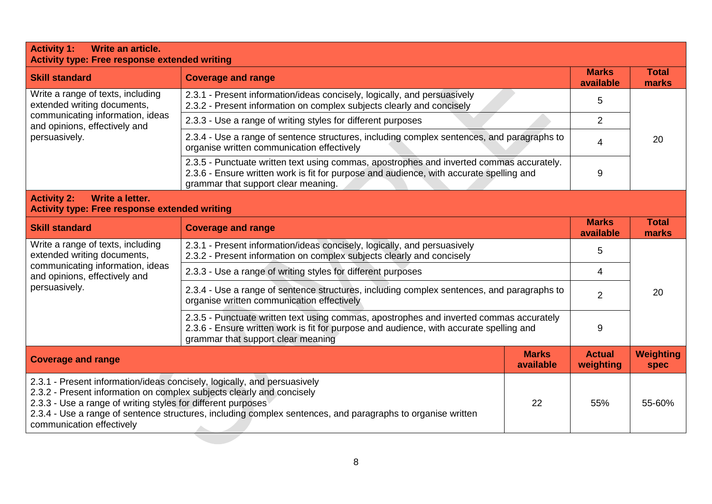| <b>Activity 1:</b><br>Write an article.<br><b>Activity type: Free response extended writing</b>                                                                                                                                                |                                                                                                                                                                                                                          |                           |                            |                                 |
|------------------------------------------------------------------------------------------------------------------------------------------------------------------------------------------------------------------------------------------------|--------------------------------------------------------------------------------------------------------------------------------------------------------------------------------------------------------------------------|---------------------------|----------------------------|---------------------------------|
| <b>Skill standard</b>                                                                                                                                                                                                                          | <b>Coverage and range</b>                                                                                                                                                                                                |                           | <b>Marks</b><br>available  | <b>Total</b><br>marks           |
| Write a range of texts, including<br>extended writing documents,                                                                                                                                                                               | 2.3.1 - Present information/ideas concisely, logically, and persuasively<br>2.3.2 - Present information on complex subjects clearly and concisely                                                                        |                           | 5                          |                                 |
| communicating information, ideas<br>and opinions, effectively and                                                                                                                                                                              | 2.3.3 - Use a range of writing styles for different purposes                                                                                                                                                             |                           | $\overline{2}$             |                                 |
| persuasively.                                                                                                                                                                                                                                  | 2.3.4 - Use a range of sentence structures, including complex sentences, and paragraphs to<br>organise written communication effectively                                                                                 |                           | 4                          | 20                              |
| 2.3.5 - Punctuate written text using commas, apostrophes and inverted commas accurately.<br>2.3.6 - Ensure written work is fit for purpose and audience, with accurate spelling and<br>grammar that support clear meaning.                     |                                                                                                                                                                                                                          |                           | 9                          |                                 |
| <b>Activity 2:</b><br>Write a letter.<br><b>Activity type: Free response extended writing</b>                                                                                                                                                  |                                                                                                                                                                                                                          |                           |                            |                                 |
| <b>Skill standard</b>                                                                                                                                                                                                                          | <b>Coverage and range</b>                                                                                                                                                                                                |                           | <b>Marks</b><br>available  | <b>Total</b><br>marks           |
| Write a range of texts, including<br>extended writing documents,                                                                                                                                                                               | 2.3.1 - Present information/ideas concisely, logically, and persuasively<br>2.3.2 - Present information on complex subjects clearly and concisely                                                                        |                           | 5                          |                                 |
| communicating information, ideas<br>and opinions, effectively and                                                                                                                                                                              | 2.3.3 - Use a range of writing styles for different purposes                                                                                                                                                             |                           | 4                          |                                 |
| persuasively.                                                                                                                                                                                                                                  | 2.3.4 - Use a range of sentence structures, including complex sentences, and paragraphs to<br>organise written communication effectively                                                                                 |                           | $\overline{2}$             | 20                              |
|                                                                                                                                                                                                                                                | 2.3.5 - Punctuate written text using commas, apostrophes and inverted commas accurately<br>2.3.6 - Ensure written work is fit for purpose and audience, with accurate spelling and<br>grammar that support clear meaning |                           | 9                          |                                 |
| <b>Coverage and range</b>                                                                                                                                                                                                                      |                                                                                                                                                                                                                          | <b>Marks</b><br>available | <b>Actual</b><br>weighting | <b>Weighting</b><br><b>spec</b> |
| 2.3.1 - Present information/ideas concisely, logically, and persuasively<br>2.3.2 - Present information on complex subjects clearly and concisely<br>2.3.3 - Use a range of writing styles for different purposes<br>communication effectively | 2.3.4 - Use a range of sentence structures, including complex sentences, and paragraphs to organise written                                                                                                              | 22                        | 55%                        | 55-60%                          |